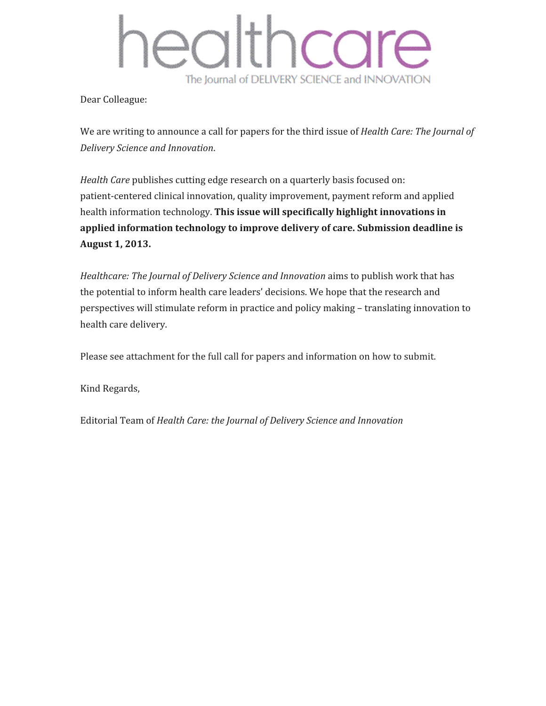# Ithcare CC The Journal of DELIVERY SCIENCE and INNOVATION

Dear Colleague:

We are writing to announce a call for papers for the third issue of *Health Care: The Journal of Delivery Science and Innovation*.

*Health Care* publishes cutting edge research on a quarterly basis focused on: patient-centered clinical innovation, quality improvement, payment reform and applied health information technology. **This issue will specifically highlight innovations in applied information technology to improve delivery of care. Submission deadline is August 1, 2013.**

*Healthcare: The Journal of Delivery Science and Innovation* aims to publish work that has the potential to inform health care leaders' decisions. We hope that the research and perspectives will stimulate reform in practice and policy making – translating innovation to health care delivery.

Please see attachment for the full call for papers and information on how to submit.

Kind Regards,

Editorial Team of *Health Care: the Journal of Delivery Science and Innovation*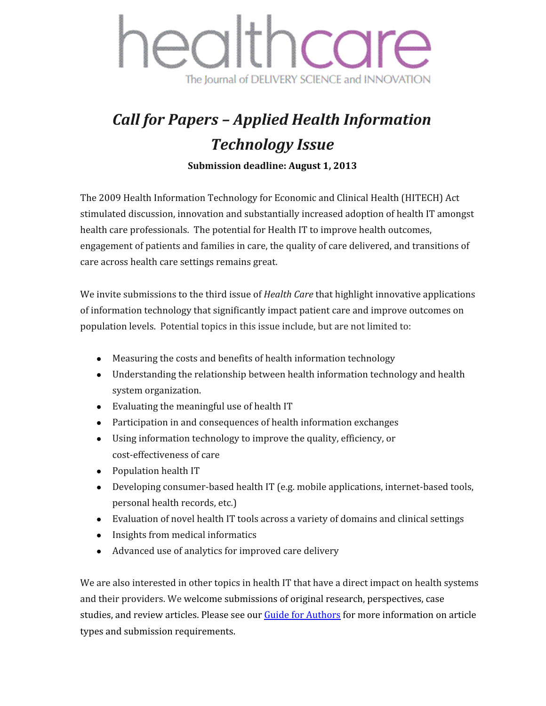

### *Call for Papers – Applied Health Information Technology Issue*

**Submission deadline: August 1, 2013**

The 2009 Health Information Technology for Economic and Clinical Health (HITECH) Act stimulated discussion, innovation and substantially increased adoption of health IT amongst health care professionals. The potential for Health IT to improve health outcomes, engagement of patients and families in care, the quality of care delivered, and transitions of care across health care settings remains great.

We invite submissions to the third issue of *Health Care* that highlight innovative applications of information technology that significantly impact patient care and improve outcomes on population levels. Potential topics in this issue include, but are not limited to:

- Measuring the costs and benefits of health information technology
- Understanding the relationship between health information technology and health system organization.
- Evaluating the meaningful use of health IT
- Participation in and consequences of health information exchanges
- Using information technology to improve the quality, efficiency, or cost-effectiveness of care
- Population health IT
- Developing consumer-based health IT (e.g. mobile applications, internet-based tools, personal health records, etc.)
- Evaluation of novel health IT tools across a variety of domains and clinical settings
- Insights from medical informatics
- Advanced use of analytics for improved care delivery

We are also interested in other topics in health IT that have a direct impact on health systems and their providers. We welcome submissions of original research, perspectives, case studies, and review articles. Please see our Guide for [Authors](http://www.google.com/url?q=http%3A%2F%2Fwww.elsevier.com%2Fjournals%2Fhealthcare-the-journal-of-delivery-science-and-innovation%2F2213-0764%2Fguide-for-authors&sa=D&sntz=1&usg=AFQjCNHZwVzib0F5-p85eO-Zq2wXVEEokA) for more information on article types and submission requirements.